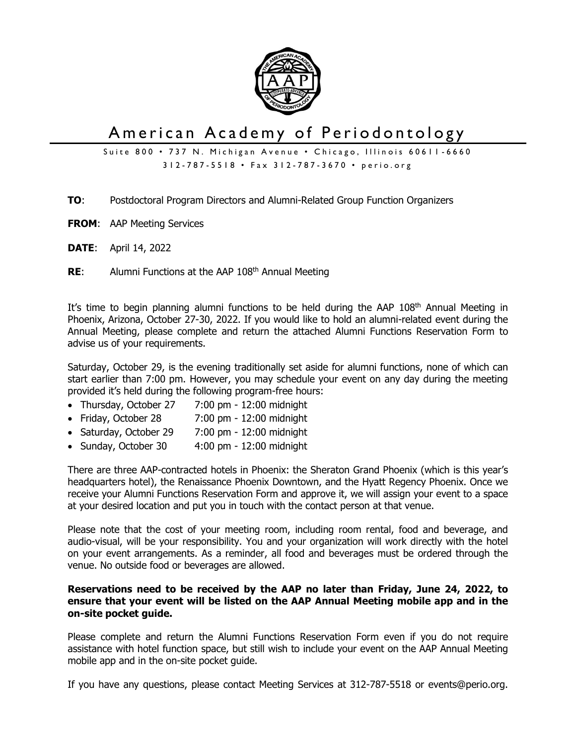

# American Academy of Periodontology

Suite 800 • 737 N. Michigan Avenue • Chicago, Illinois 60611-6660 312-787-5518 • Fax 312-787-3670 • perio.org

- **TO**: Postdoctoral Program Directors and Alumni-Related Group Function Organizers
- **FROM**: AAP Meeting Services
- **DATE**: April 14, 2022
- **RE:** Alumni Functions at the AAP 108<sup>th</sup> Annual Meeting

It's time to begin planning alumni functions to be held during the AAP 108<sup>th</sup> Annual Meeting in Phoenix, Arizona, October 27-30, 2022. If you would like to hold an alumni-related event during the Annual Meeting, please complete and return the attached Alumni Functions Reservation Form to advise us of your requirements.

Saturday, October 29, is the evening traditionally set aside for alumni functions, none of which can start earlier than 7:00 pm. However, you may schedule your event on any day during the meeting provided it's held during the following program-free hours:

- Thursday, October 27 7:00 pm 12:00 midnight
- Friday, October 28 7:00 pm 12:00 midnight
- Saturday, October 29 7:00 pm 12:00 midnight
- Sunday, October 30 4:00 pm 12:00 midnight

There are three AAP-contracted hotels in Phoenix: the Sheraton Grand Phoenix (which is this year's headquarters hotel), the Renaissance Phoenix Downtown, and the Hyatt Regency Phoenix. Once we receive your Alumni Functions Reservation Form and approve it, we will assign your event to a space at your desired location and put you in touch with the contact person at that venue.

Please note that the cost of your meeting room, including room rental, food and beverage, and audio-visual, will be your responsibility. You and your organization will work directly with the hotel on your event arrangements. As a reminder, all food and beverages must be ordered through the venue. No outside food or beverages are allowed.

## **Reservations need to be received by the AAP no later than Friday, June 24, 2022, to ensure that your event will be listed on the AAP Annual Meeting mobile app and in the on-site pocket guide.**

Please complete and return the Alumni Functions Reservation Form even if you do not require assistance with hotel function space, but still wish to include your event on the AAP Annual Meeting mobile app and in the on-site pocket guide.

If you have any questions, please contact Meeting Services at 312-787-5518 or events@perio.org.